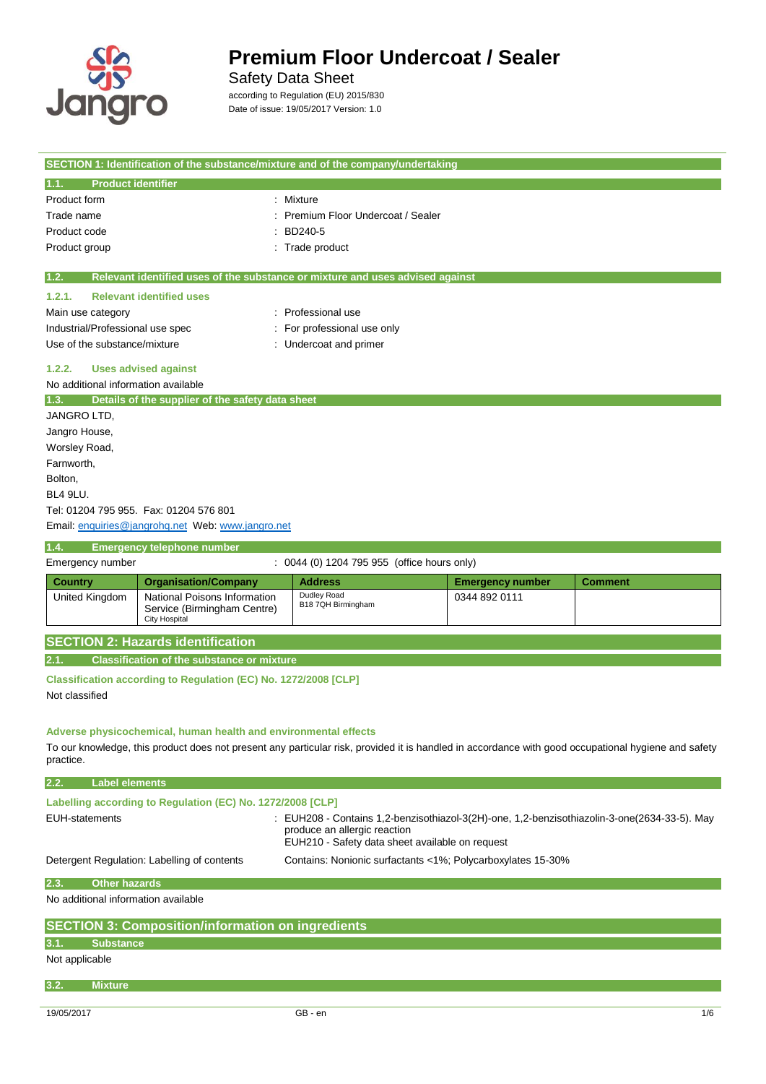

 $\overline{\phantom{a}}$ 

# **Premium Floor Undercoat / Sealer**

Safety Data Sheet

according to Regulation (EU) 2015/830 Date of issue: 19/05/2017 Version: 1.0

|                                                                                              |                                                             | SECTION 1: Identification of the substance/mixture and of the company/undertaking                                                                   |                         |                |
|----------------------------------------------------------------------------------------------|-------------------------------------------------------------|-----------------------------------------------------------------------------------------------------------------------------------------------------|-------------------------|----------------|
| <b>Product identifier</b><br>1.1.                                                            |                                                             |                                                                                                                                                     |                         |                |
| Product form                                                                                 |                                                             | : Mixture                                                                                                                                           |                         |                |
| Trade name                                                                                   |                                                             | Premium Floor Undercoat / Sealer                                                                                                                    |                         |                |
| Product code                                                                                 |                                                             | BD240-5                                                                                                                                             |                         |                |
| Product group                                                                                |                                                             | Trade product                                                                                                                                       |                         |                |
| 1.2.                                                                                         |                                                             | Relevant identified uses of the substance or mixture and uses advised against                                                                       |                         |                |
| <b>Relevant identified uses</b><br>1.2.1.                                                    |                                                             |                                                                                                                                                     |                         |                |
| Main use category                                                                            |                                                             | : Professional use                                                                                                                                  |                         |                |
| Industrial/Professional use spec                                                             |                                                             | For professional use only                                                                                                                           |                         |                |
| Use of the substance/mixture                                                                 |                                                             | : Undercoat and primer                                                                                                                              |                         |                |
| <b>Uses advised against</b><br>1.2.2.                                                        |                                                             |                                                                                                                                                     |                         |                |
| No additional information available                                                          |                                                             |                                                                                                                                                     |                         |                |
| Details of the supplier of the safety data sheet<br>1.3.                                     |                                                             |                                                                                                                                                     |                         |                |
| JANGRO LTD.                                                                                  |                                                             |                                                                                                                                                     |                         |                |
| Jangro House,                                                                                |                                                             |                                                                                                                                                     |                         |                |
| Worsley Road,                                                                                |                                                             |                                                                                                                                                     |                         |                |
| Farnworth,                                                                                   |                                                             |                                                                                                                                                     |                         |                |
| Bolton,<br>BL4 9LU.                                                                          |                                                             |                                                                                                                                                     |                         |                |
| Tel: 01204 795 955. Fax: 01204 576 801                                                       |                                                             |                                                                                                                                                     |                         |                |
| Email: enquiries@jangrohq.net Web: www.jangro.net                                            |                                                             |                                                                                                                                                     |                         |                |
|                                                                                              |                                                             |                                                                                                                                                     |                         |                |
| <b>Emergency telephone number</b><br>1.4.                                                    |                                                             | : 0044 (0) 1204 795 955 (office hours only)                                                                                                         |                         |                |
| Emergency number                                                                             |                                                             |                                                                                                                                                     |                         |                |
| <b>Country</b>                                                                               | <b>Organisation/Company</b>                                 | <b>Address</b><br>Dudley Road                                                                                                                       | <b>Emergency number</b> | <b>Comment</b> |
| <b>United Kingdom</b><br><b>City Hospital</b>                                                | National Poisons Information<br>Service (Birmingham Centre) | B18 7QH Birmingham                                                                                                                                  | 0344 892 0111           |                |
| <b>SECTION 2: Hazards identification</b>                                                     |                                                             |                                                                                                                                                     |                         |                |
| <b>Classification of the substance or mixture</b><br>2.1.                                    |                                                             |                                                                                                                                                     |                         |                |
|                                                                                              |                                                             |                                                                                                                                                     |                         |                |
| Classification according to Regulation (EC) No. 1272/2008 [CLP]<br>Not classified            |                                                             |                                                                                                                                                     |                         |                |
|                                                                                              |                                                             |                                                                                                                                                     |                         |                |
|                                                                                              |                                                             |                                                                                                                                                     |                         |                |
| Adverse physicochemical, human health and environmental effects                              |                                                             |                                                                                                                                                     |                         |                |
| practice.                                                                                    |                                                             | To our knowledge, this product does not present any particular risk, provided it is handled in accordance with good occupational hygiene and safety |                         |                |
| <b>Label elements</b><br>2.2.                                                                |                                                             |                                                                                                                                                     |                         |                |
|                                                                                              |                                                             |                                                                                                                                                     |                         |                |
| Labelling according to Regulation (EC) No. 1272/2008 [CLP]                                   |                                                             |                                                                                                                                                     |                         |                |
| <b>EUH-statements</b>                                                                        |                                                             | EUH208 - Contains 1,2-benzisothiazol-3(2H)-one, 1,2-benzisothiazolin-3-one(2634-33-5). May<br>produce an allergic reaction                          |                         |                |
|                                                                                              |                                                             | EUH210 - Safety data sheet available on request                                                                                                     |                         |                |
|                                                                                              |                                                             |                                                                                                                                                     |                         |                |
| Detergent Regulation: Labelling of contents                                                  |                                                             | Contains: Nonionic surfactants <1%; Polycarboxylates 15-30%                                                                                         |                         |                |
| <b>Other hazards</b>                                                                         |                                                             |                                                                                                                                                     |                         |                |
| No additional information available                                                          |                                                             |                                                                                                                                                     |                         |                |
|                                                                                              |                                                             |                                                                                                                                                     |                         |                |
| 2.3.<br><b>SECTION 3: Composition/information on ingredients</b><br><b>Substance</b><br>3.1. |                                                             |                                                                                                                                                     |                         |                |
| Not applicable                                                                               |                                                             |                                                                                                                                                     |                         |                |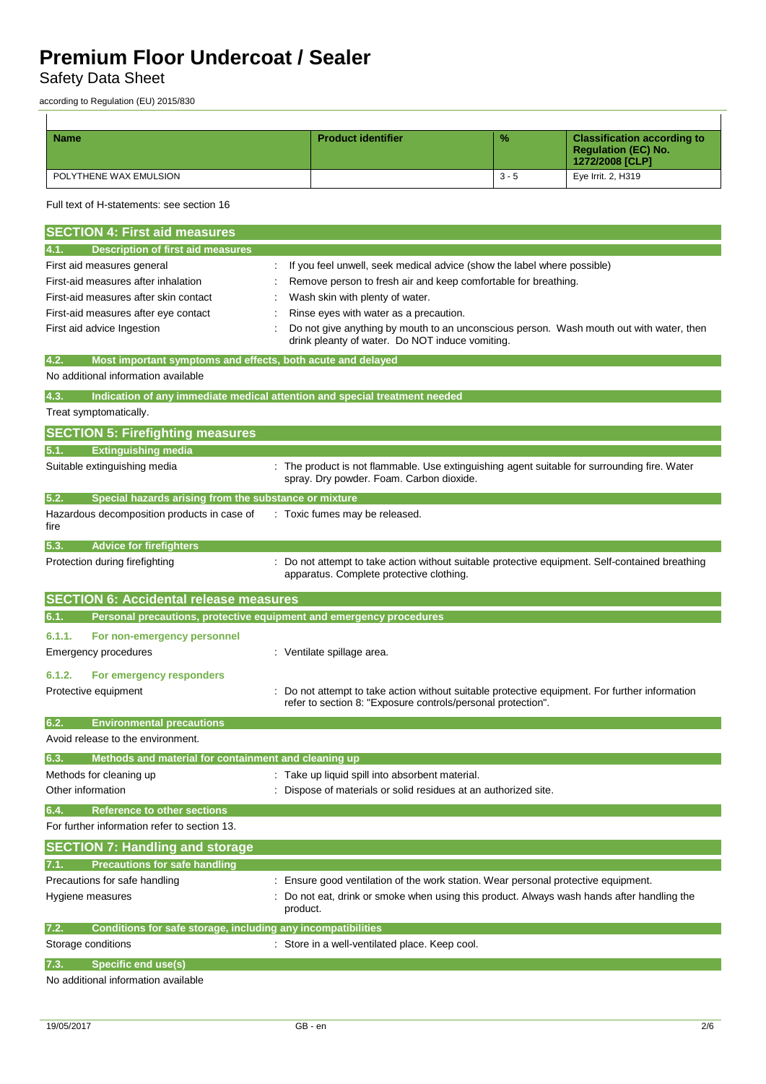Safety Data Sheet

according to Regulation (EU) 2015/830

| <b>Name</b>            | <b>Product identifier</b> | $\frac{9}{6}$ | <b>Classification according to</b><br><b>Regulation (EC) No.</b><br>1272/2008 [CLP] |
|------------------------|---------------------------|---------------|-------------------------------------------------------------------------------------|
| POLYTHENE WAX EMULSION |                           | $3 - 5$       | Eye Irrit. 2, H319                                                                  |

### Full text of H-statements: see section 16

| <b>SECTION 4: First aid measures</b>                                        |                                                                                                                                                              |
|-----------------------------------------------------------------------------|--------------------------------------------------------------------------------------------------------------------------------------------------------------|
| Description of first aid measures<br>4.1.                                   |                                                                                                                                                              |
| First aid measures general                                                  | If you feel unwell, seek medical advice (show the label where possible)                                                                                      |
| First-aid measures after inhalation                                         | Remove person to fresh air and keep comfortable for breathing.                                                                                               |
| First-aid measures after skin contact                                       | Wash skin with plenty of water.                                                                                                                              |
| First-aid measures after eye contact                                        | Rinse eyes with water as a precaution.                                                                                                                       |
| First aid advice Ingestion                                                  | Do not give anything by mouth to an unconscious person. Wash mouth out with water, then<br>drink pleanty of water. Do NOT induce vomiting.                   |
| Most important symptoms and effects, both acute and delayed<br>4.2.         |                                                                                                                                                              |
| No additional information available                                         |                                                                                                                                                              |
| 4.3.                                                                        | Indication of any immediate medical attention and special treatment needed                                                                                   |
| Treat symptomatically.                                                      |                                                                                                                                                              |
| <b>SECTION 5: Firefighting measures</b>                                     |                                                                                                                                                              |
| <b>Extinguishing media</b><br>5.1.                                          |                                                                                                                                                              |
| Suitable extinguishing media                                                | : The product is not flammable. Use extinguishing agent suitable for surrounding fire. Water<br>spray. Dry powder. Foam. Carbon dioxide.                     |
| 5.2.<br>Special hazards arising from the substance or mixture               |                                                                                                                                                              |
| Hazardous decomposition products in case of<br>fire                         | : Toxic fumes may be released.                                                                                                                               |
| 5.3.<br><b>Advice for firefighters</b>                                      |                                                                                                                                                              |
| Protection during firefighting                                              | Do not attempt to take action without suitable protective equipment. Self-contained breathing<br>apparatus. Complete protective clothing.                    |
| <b>SECTION 6: Accidental release measures</b>                               |                                                                                                                                                              |
| 6.1.<br>Personal precautions, protective equipment and emergency procedures |                                                                                                                                                              |
| 6.1.1.<br>For non-emergency personnel                                       |                                                                                                                                                              |
| Emergency procedures                                                        | : Ventilate spillage area.                                                                                                                                   |
| 6.1.2.<br>For emergency responders                                          |                                                                                                                                                              |
| Protective equipment                                                        | Do not attempt to take action without suitable protective equipment. For further information<br>refer to section 8: "Exposure controls/personal protection". |
| <b>Environmental precautions</b><br>6.2.                                    |                                                                                                                                                              |
| Avoid release to the environment.                                           |                                                                                                                                                              |
| Methods and material for containment and cleaning up<br>6.3.                |                                                                                                                                                              |
| Methods for cleaning up                                                     | : Take up liquid spill into absorbent material.                                                                                                              |
| Other information                                                           | Dispose of materials or solid residues at an authorized site.                                                                                                |
| 6.4.<br><b>Reference to other sections</b>                                  |                                                                                                                                                              |
| For further information refer to section 13.                                |                                                                                                                                                              |
| <b>SECTION 7: Handling and storage</b>                                      |                                                                                                                                                              |
| <b>Precautions for safe handling</b><br>7.1.                                |                                                                                                                                                              |
| Precautions for safe handling                                               | : Ensure good ventilation of the work station. Wear personal protective equipment.                                                                           |
| Hygiene measures                                                            | Do not eat, drink or smoke when using this product. Always wash hands after handling the<br>product.                                                         |
| Conditions for safe storage, including any incompatibilities<br>7.2.        |                                                                                                                                                              |
| Storage conditions                                                          | Store in a well-ventilated place. Keep cool.                                                                                                                 |
| <b>Specific end use(s)</b><br>7.3.                                          |                                                                                                                                                              |
| No additional information available                                         |                                                                                                                                                              |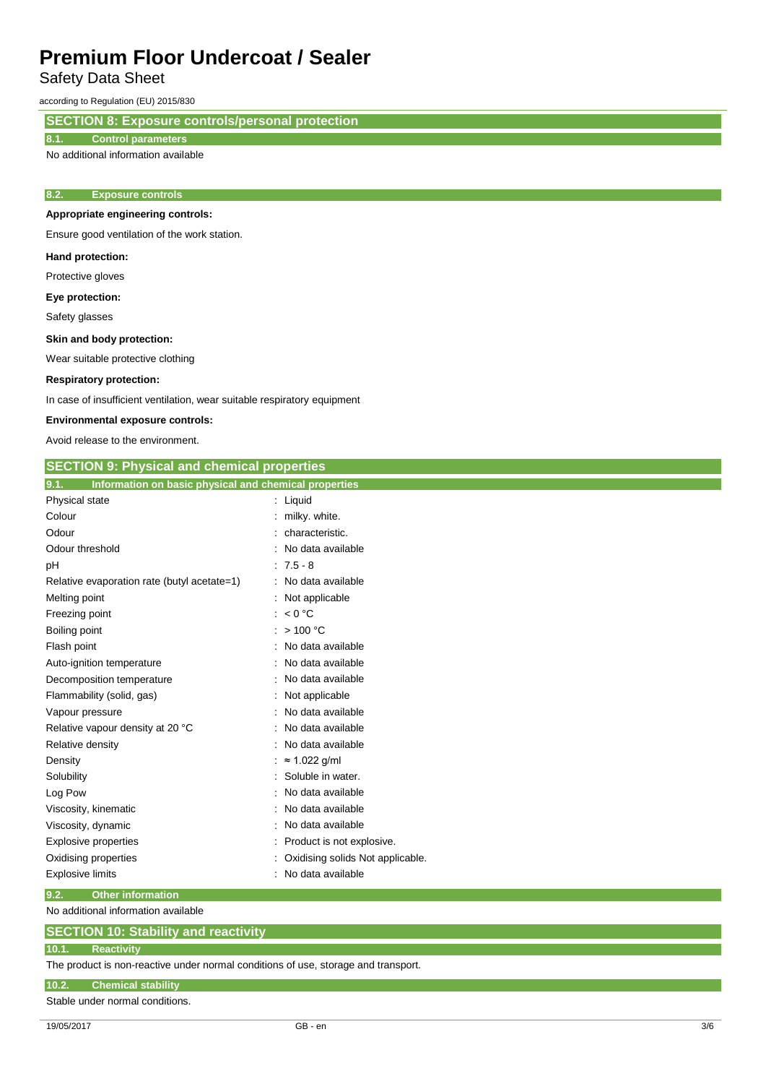Safety Data Sheet

according to Regulation (EU) 2015/830

**SECTION 8: Exposure controls/personal protection**

### **8.1. Control parameters**

No additional information available

### **8.2. Exposure controls**

### **Appropriate engineering controls:**

Ensure good ventilation of the work station.

#### **Hand protection:**

Protective gloves

**Eye protection:**

Safety glasses

#### **Skin and body protection:**

Wear suitable protective clothing

#### **Respiratory protection:**

In case of insufficient ventilation, wear suitable respiratory equipment

#### **Environmental exposure controls:**

Avoid release to the environment.

| <b>SECTION 9: Physical and chemical properties</b>            |                                  |  |
|---------------------------------------------------------------|----------------------------------|--|
| Information on basic physical and chemical properties<br>9.1. |                                  |  |
| Physical state                                                | : Liquid                         |  |
| Colour                                                        | : milky. white.                  |  |
| Odour                                                         | characteristic.                  |  |
| Odour threshold                                               | No data available                |  |
| рH                                                            | $: 7.5 - 8$                      |  |
| Relative evaporation rate (butyl acetate=1)                   | : No data available              |  |
| Melting point                                                 | : Not applicable                 |  |
| Freezing point                                                | : $< 0$ °C                       |  |
| Boiling point                                                 | >100 °C                          |  |
| Flash point                                                   | No data available                |  |
| Auto-ignition temperature                                     | No data available                |  |
| Decomposition temperature                                     | : No data available              |  |
| Flammability (solid, gas)                                     | Not applicable                   |  |
| Vapour pressure                                               | : No data available              |  |
| Relative vapour density at 20 °C                              | No data available                |  |
| Relative density                                              | No data available                |  |
| Density                                                       | $\approx$ 1.022 g/ml             |  |
| Solubility                                                    | Soluble in water.                |  |
| Log Pow                                                       | No data available                |  |
| Viscosity, kinematic                                          | No data available                |  |
| Viscosity, dynamic                                            | No data available                |  |
| Explosive properties                                          | Product is not explosive.        |  |
| Oxidising properties                                          | Oxidising solids Not applicable. |  |
| <b>Explosive limits</b>                                       | No data available                |  |
| 9.2.<br><b>Other information</b>                              |                                  |  |

No additional information available

### **SECTION 10: Stability and reactivity**

### **10.1. Reactivity**

The product is non-reactive under normal conditions of use, storage and transport.

### **10.2. Chemical stability**

Stable under normal conditions.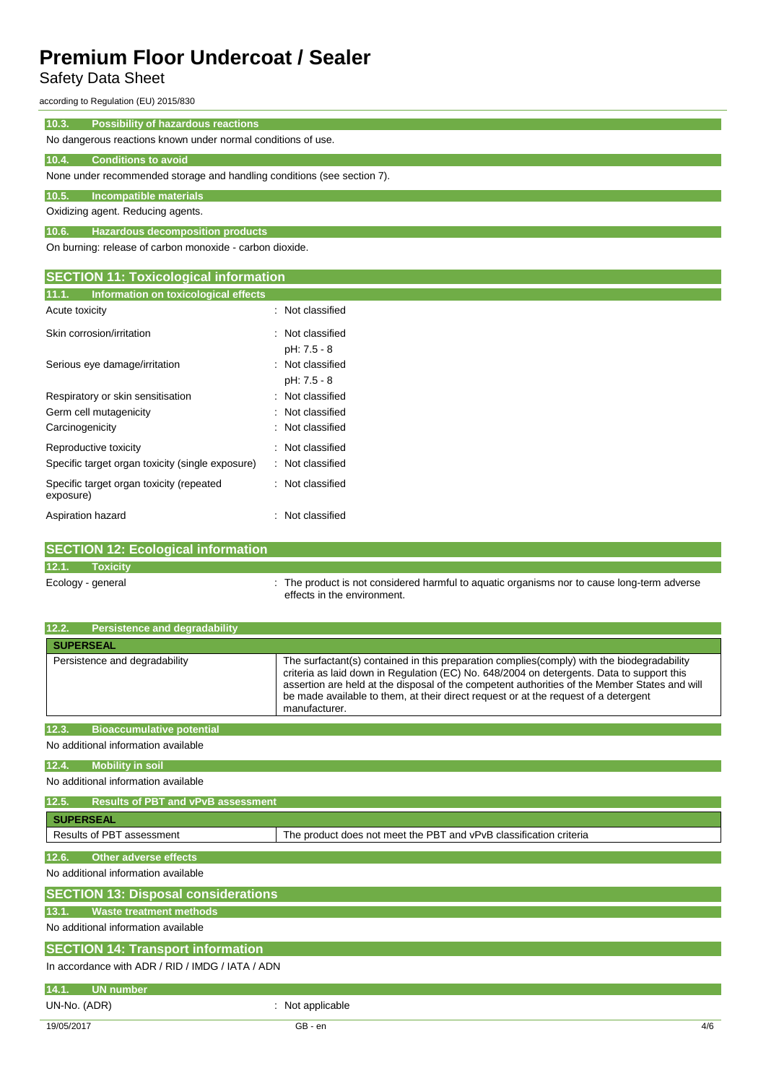## Safety Data Sheet

according to Regulation (EU) 2015/830

| 10.3.<br><b>Possibility of hazardous reactions</b>                      |
|-------------------------------------------------------------------------|
| No dangerous reactions known under normal conditions of use.            |
| 10.4.<br><b>Conditions to avoid</b>                                     |
| None under recommended storage and handling conditions (see section 7). |
| 10.5.<br>Incompatible materials                                         |
| Oxidizing agent. Reducing agents.                                       |
| 10.6.<br>Hazardous decomposition products                               |
| On burning: release of carbon monoxide - carbon dioxide.                |
|                                                                         |
| <b>SECTION 11: Toxicological information</b>                            |
| 11.1.<br>Information on toxicological effects                           |

| Acute toxicity                                        | : Not classified |
|-------------------------------------------------------|------------------|
| Skin corrosion/irritation                             | Not classified   |
|                                                       | pH: 7.5 - 8      |
| Serious eye damage/irritation                         | Not classified   |
|                                                       | pH: 7.5 - 8      |
| Respiratory or skin sensitisation                     | Not classified   |
| Germ cell mutagenicity                                | Not classified   |
| Carcinogenicity                                       | : Not classified |
| Reproductive toxicity                                 | : Not classified |
| Specific target organ toxicity (single exposure)      | Not classified   |
| Specific target organ toxicity (repeated<br>exposure) | : Not classified |
| Aspiration hazard                                     | Not classified   |

|                   | <b>SECTION 12: Ecological information</b> |                                                                                                                            |
|-------------------|-------------------------------------------|----------------------------------------------------------------------------------------------------------------------------|
| 12.1.             | <b>Toxicity</b>                           |                                                                                                                            |
| Ecology - general |                                           | : The product is not considered harmful to aquatic organisms nor to cause long-term adverse<br>effects in the environment. |

| <b>Persistence and degradability</b><br>12.2.      |                                                                                                                                                                                                                                                                                                                                                                                                   |
|----------------------------------------------------|---------------------------------------------------------------------------------------------------------------------------------------------------------------------------------------------------------------------------------------------------------------------------------------------------------------------------------------------------------------------------------------------------|
|                                                    |                                                                                                                                                                                                                                                                                                                                                                                                   |
| <b>SUPERSEAL</b>                                   |                                                                                                                                                                                                                                                                                                                                                                                                   |
| Persistence and degradability                      | The surfactant(s) contained in this preparation complies (comply) with the biodegradability<br>criteria as laid down in Regulation (EC) No. 648/2004 on detergents. Data to support this<br>assertion are held at the disposal of the competent authorities of the Member States and will<br>be made available to them, at their direct request or at the request of a detergent<br>manufacturer. |
| 12.3.<br><b>Bioaccumulative potential</b>          |                                                                                                                                                                                                                                                                                                                                                                                                   |
| No additional information available                |                                                                                                                                                                                                                                                                                                                                                                                                   |
| <b>Mobility in soil</b><br>12.4.                   |                                                                                                                                                                                                                                                                                                                                                                                                   |
| No additional information available                |                                                                                                                                                                                                                                                                                                                                                                                                   |
| <b>Results of PBT and vPvB assessment</b><br>12.5. |                                                                                                                                                                                                                                                                                                                                                                                                   |
| <b>SUPERSEAL</b>                                   |                                                                                                                                                                                                                                                                                                                                                                                                   |
| Results of PBT assessment                          | The product does not meet the PBT and vPvB classification criteria                                                                                                                                                                                                                                                                                                                                |
| <b>Other adverse effects</b><br>12.6.              |                                                                                                                                                                                                                                                                                                                                                                                                   |
| No additional information available                |                                                                                                                                                                                                                                                                                                                                                                                                   |
| <b>SECTION 13: Disposal considerations</b>         |                                                                                                                                                                                                                                                                                                                                                                                                   |
| <b>Waste treatment methods</b><br>13.1.            |                                                                                                                                                                                                                                                                                                                                                                                                   |
| No additional information available                |                                                                                                                                                                                                                                                                                                                                                                                                   |
| <b>SECTION 14: Transport information</b>           |                                                                                                                                                                                                                                                                                                                                                                                                   |
| In accordance with ADR / RID / IMDG / IATA / ADN   |                                                                                                                                                                                                                                                                                                                                                                                                   |
| <b>UN number</b><br>14.1.                          |                                                                                                                                                                                                                                                                                                                                                                                                   |
| UN-No. (ADR)                                       | : Not applicable                                                                                                                                                                                                                                                                                                                                                                                  |
| 19/05/2017                                         | GB - en<br>4/6                                                                                                                                                                                                                                                                                                                                                                                    |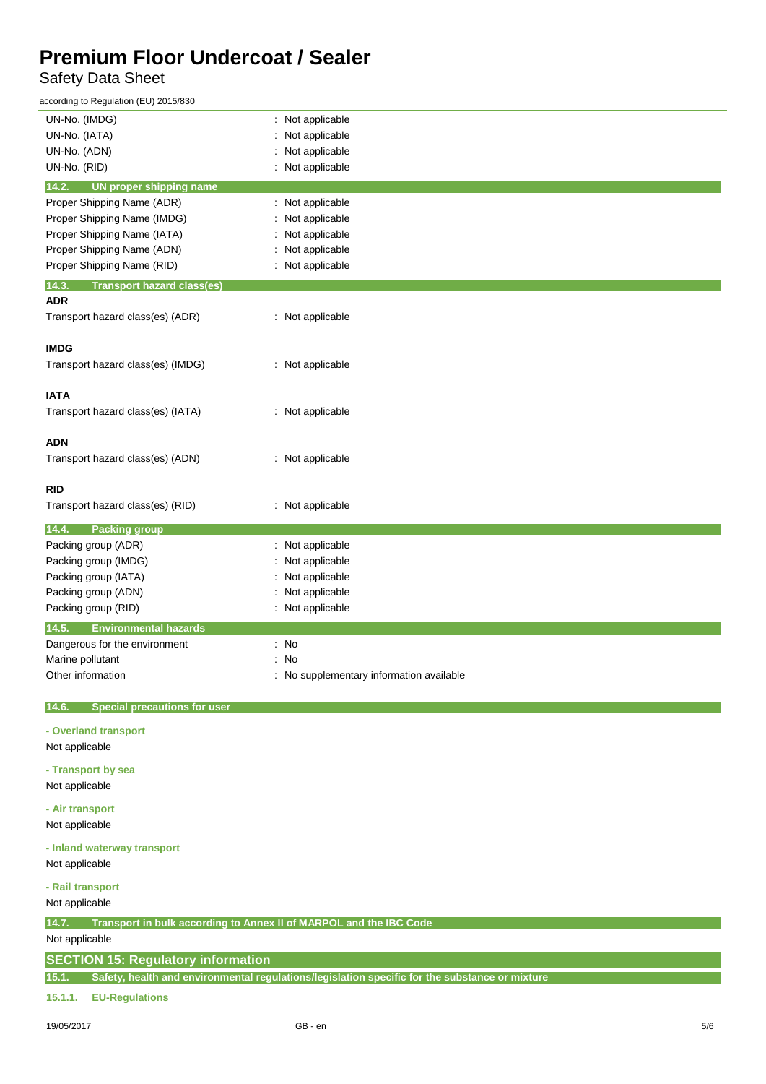### Safety Data Sheet

according to Regulation (EU) 2015/830

| UN-No. (IMDG)                                | : Not applicable                                                                               |
|----------------------------------------------|------------------------------------------------------------------------------------------------|
| UN-No. (IATA)                                | Not applicable                                                                                 |
| UN-No. (ADN)                                 | Not applicable                                                                                 |
| UN-No. (RID)                                 | Not applicable                                                                                 |
| 14.2.<br><b>UN proper shipping name</b>      |                                                                                                |
| Proper Shipping Name (ADR)                   | : Not applicable                                                                               |
| Proper Shipping Name (IMDG)                  | Not applicable                                                                                 |
| Proper Shipping Name (IATA)                  | Not applicable                                                                                 |
| Proper Shipping Name (ADN)                   | Not applicable                                                                                 |
|                                              |                                                                                                |
| Proper Shipping Name (RID)                   | : Not applicable                                                                               |
| 14.3.<br><b>Transport hazard class(es)</b>   |                                                                                                |
| <b>ADR</b>                                   |                                                                                                |
| Transport hazard class(es) (ADR)             | : Not applicable                                                                               |
|                                              |                                                                                                |
| <b>IMDG</b>                                  |                                                                                                |
| Transport hazard class(es) (IMDG)            | : Not applicable                                                                               |
|                                              |                                                                                                |
| <b>IATA</b>                                  |                                                                                                |
| Transport hazard class(es) (IATA)            | : Not applicable                                                                               |
|                                              |                                                                                                |
| <b>ADN</b>                                   |                                                                                                |
| Transport hazard class(es) (ADN)             | : Not applicable                                                                               |
|                                              |                                                                                                |
| <b>RID</b>                                   |                                                                                                |
| Transport hazard class(es) (RID)             | : Not applicable                                                                               |
|                                              |                                                                                                |
| 14.4.<br><b>Packing group</b>                |                                                                                                |
| Packing group (ADR)                          | Not applicable                                                                                 |
| Packing group (IMDG)                         | Not applicable                                                                                 |
| Packing group (IATA)                         | Not applicable                                                                                 |
| Packing group (ADN)                          | Not applicable                                                                                 |
| Packing group (RID)                          | : Not applicable                                                                               |
| 14.5.<br><b>Environmental hazards</b>        |                                                                                                |
| Dangerous for the environment                | : No                                                                                           |
| Marine pollutant                             | No                                                                                             |
| Other information                            | : No supplementary information available                                                       |
|                                              |                                                                                                |
| 14.6.<br><b>Special precautions for user</b> |                                                                                                |
|                                              |                                                                                                |
| - Overland transport                         |                                                                                                |
| Not applicable                               |                                                                                                |
|                                              |                                                                                                |
| - Transport by sea                           |                                                                                                |
| Not applicable                               |                                                                                                |
| - Air transport                              |                                                                                                |
| Not applicable                               |                                                                                                |
|                                              |                                                                                                |
| - Inland waterway transport                  |                                                                                                |
| Not applicable                               |                                                                                                |
| - Rail transport                             |                                                                                                |
| Not applicable                               |                                                                                                |
|                                              |                                                                                                |
| 14.7.                                        | Transport in bulk according to Annex II of MARPOL and the IBC Code                             |
| Not applicable                               |                                                                                                |
| <b>SECTION 15: Regulatory information</b>    |                                                                                                |
| 15.1.                                        | Safety, health and environmental regulations/legislation specific for the substance or mixture |
|                                              |                                                                                                |
| 15.1.1.<br><b>EU-Regulations</b>             |                                                                                                |
|                                              |                                                                                                |